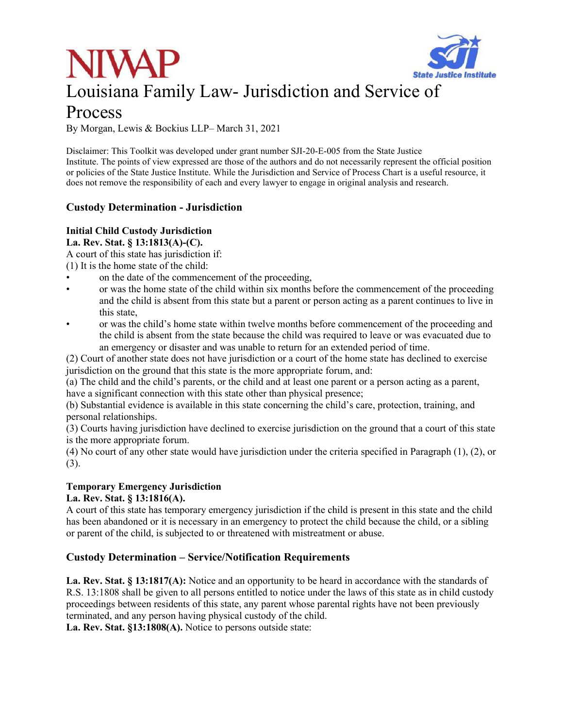



# Process

By Morgan, Lewis & Bockius LLP– March 31, 2021

Disclaimer: This Toolkit was developed under grant number SJI-20-E-005 from the State Justice Institute. The points of view expressed are those of the authors and do not necessarily represent the official position or policies of the State Justice Institute. While the Jurisdiction and Service of Process Chart is a useful resource, it does not remove the responsibility of each and every lawyer to engage in original analysis and research.

# **Custody Determination - Jurisdiction**

# **Initial Child Custody Jurisdiction**

**La. Rev. Stat. § 13:1813(A)-(C).** 

A court of this state has jurisdiction if:

- (1) It is the home state of the child:
- on the date of the commencement of the proceeding,
- or was the home state of the child within six months before the commencement of the proceeding and the child is absent from this state but a parent or person acting as a parent continues to live in this state,
- or was the child's home state within twelve months before commencement of the proceeding and the child is absent from the state because the child was required to leave or was evacuated due to an emergency or disaster and was unable to return for an extended period of time.

(2) Court of another state does not have jurisdiction or a court of the home state has declined to exercise jurisdiction on the ground that this state is the more appropriate forum, and:

(a) The child and the child's parents, or the child and at least one parent or a person acting as a parent, have a significant connection with this state other than physical presence;

(b) Substantial evidence is available in this state concerning the child's care, protection, training, and personal relationships.

(3) Courts having jurisdiction have declined to exercise jurisdiction on the ground that a court of this state is the more appropriate forum.

(4) No court of any other state would have jurisdiction under the criteria specified in Paragraph (1), (2), or (3).

#### **Temporary Emergency Jurisdiction**

#### **La. Rev. Stat. § 13:1816(A).**

A court of this state has temporary emergency jurisdiction if the child is present in this state and the child has been abandoned or it is necessary in an emergency to protect the child because the child, or a sibling or parent of the child, is subjected to or threatened with mistreatment or abuse.

### **Custody Determination – Service/Notification Requirements**

**La. Rev. Stat. § 13:1817(A):** Notice and an opportunity to be heard in accordance with the standards of R.S. 13:1808 shall be given to all persons entitled to notice under the laws of this state as in child custody proceedings between residents of this state, any parent whose parental rights have not been previously terminated, and any person having physical custody of the child.

**La. Rev. Stat. §13:1808(A).** Notice to persons outside state: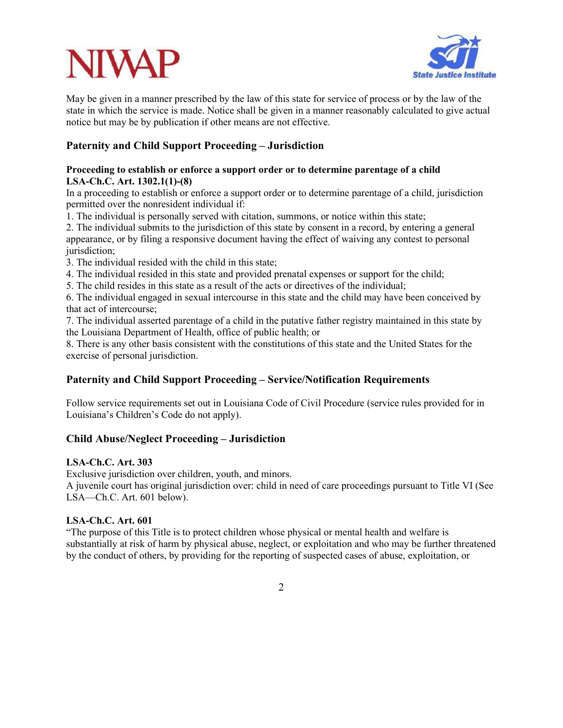

May be given in a manner prescribed by the law of this state for service of process or by the law of the state in which the service is made. Notice shall be given in a manner reasonably calculated to give actual notice but may be by publication if other means are not effective.

# **Paternity and Child Support Proceeding – Jurisdiction**

#### **Proceeding to establish or enforce a support order or to determine parentage of a child LSA-Ch.C. Art. 1302.1(1)-(8)**

In a proceeding to establish or enforce a support order or to determine parentage of a child, jurisdiction permitted over the nonresident individual if:

1. The individual is personally served with citation, summons, or notice within this state;

2. The individual submits to the jurisdiction of this state by consent in a record, by entering a general appearance, or by filing a responsive document having the effect of waiving any contest to personal jurisdiction:

3. The individual resided with the child in this state;

4. The individual resided in this state and provided prenatal expenses or support for the child;

5. The child resides in this state as a result of the acts or directives of the individual;

6. The individual engaged in sexual intercourse in this state and the child may have been conceived by that act of intercourse;

7. The individual asserted parentage of a child in the putative father registry maintained in this state by the Louisiana Department of Health, office of public health; or

8. There is any other basis consistent with the constitutions of this state and the United States for the exercise of personal jurisdiction.

# **Paternity and Child Support Proceeding – Service/Notification Requirements**

Follow service requirements set out in Louisiana Code of Civil Procedure (service rules provided for in Louisiana's Children's Code do not apply).

### **Child Abuse/Neglect Proceeding – Jurisdiction**

#### **LSA-Ch.C. Art. 303**

Exclusive jurisdiction over children, youth, and minors.

A juvenile court has original jurisdiction over: child in need of care proceedings pursuant to Title VI (See LSA—Ch.C. Art. 601 below).

#### **LSA-Ch.C. Art. 601**

"The purpose of this Title is to protect children whose physical or mental health and welfare is substantially at risk of harm by physical abuse, neglect, or exploitation and who may be further threatened by the conduct of others, by providing for the reporting of suspected cases of abuse, exploitation, or

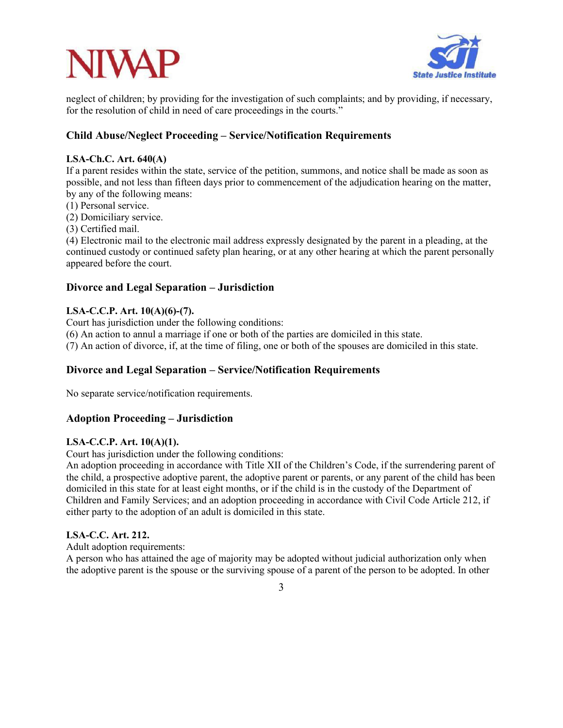

neglect of children; by providing for the investigation of such complaints; and by providing, if necessary, for the resolution of child in need of care proceedings in the courts."

# **Child Abuse/Neglect Proceeding – Service/Notification Requirements**

### **LSA-Ch.C. Art. 640(A)**

If a parent resides within the state, service of the petition, summons, and notice shall be made as soon as possible, and not less than fifteen days prior to commencement of the adjudication hearing on the matter, by any of the following means:

(1) Personal service.

(2) Domiciliary service.

(3) Certified mail.

(4) Electronic mail to the electronic mail address expressly designated by the parent in a pleading, at the continued custody or continued safety plan hearing, or at any other hearing at which the parent personally appeared before the court.

# **Divorce and Legal Separation – Jurisdiction**

# **LSA-C.C.P. Art. 10(A)(6)-(7).**

Court has jurisdiction under the following conditions:

(6) An action to annul a marriage if one or both of the parties are domiciled in this state.

(7) An action of divorce, if, at the time of filing, one or both of the spouses are domiciled in this state.

# **Divorce and Legal Separation – Service/Notification Requirements**

No separate service/notification requirements.

# **Adoption Proceeding – Jurisdiction**

### **LSA-C.C.P. Art. 10(A)(1).**

Court has jurisdiction under the following conditions:

An adoption proceeding in accordance with Title XII of the Children's Code, if the surrendering parent of the child, a prospective adoptive parent, the adoptive parent or parents, or any parent of the child has been domiciled in this state for at least eight months, or if the child is in the custody of the Department of Children and Family Services; and an adoption proceeding in accordance with Civil Code Article 212, if either party to the adoption of an adult is domiciled in this state.

### **LSA-C.C. Art. 212.**

Adult adoption requirements:

A person who has attained the age of majority may be adopted without judicial authorization only when the adoptive parent is the spouse or the surviving spouse of a parent of the person to be adopted. In other